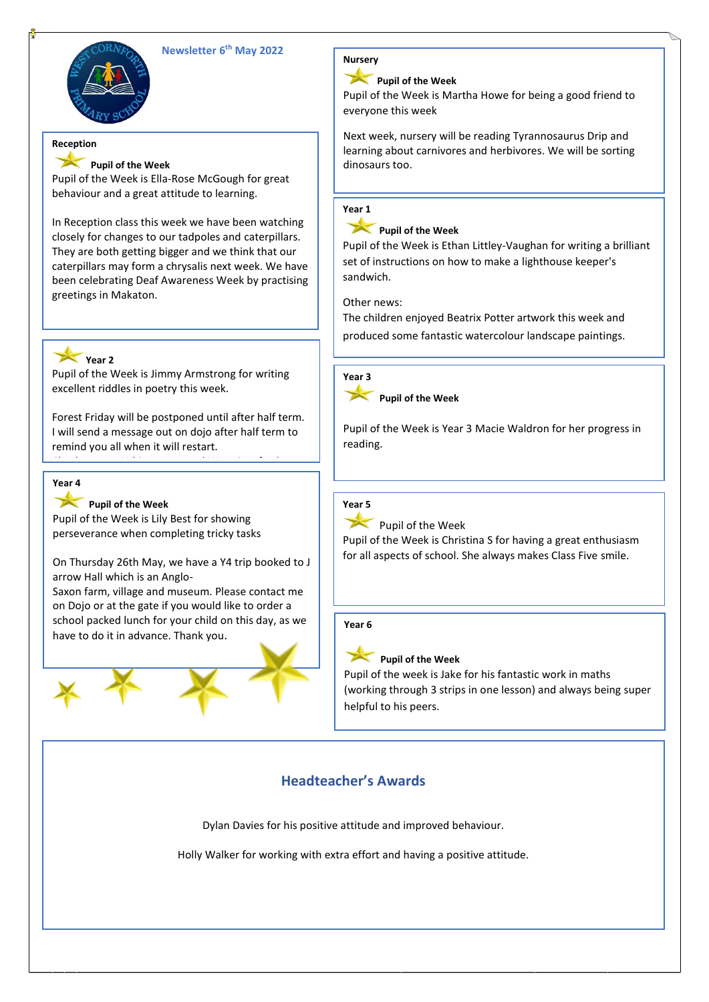

# **Newsletter 6 th May 2022**

# **Reception**

# **Pupil of the Week**

Pupil of the Week is Ella-Rose McGough for great behaviour and a great attitude to learning.

In Reception class this week we have been watching closely for changes to our tadpoles and caterpillars. They are both getting bigger and we think that our caterpillars may form a chrysalis next week. We have been celebrating Deaf Awareness Week by practising greetings in Makaton.

### **Year 2**

Pupil of the Week is Jimmy Armstrong for writing excellent riddles in poetry this week.

Forest Friday will be postponed until after half term. I will send a message out on dojo after half term to remind you all when it will restart.

Check out our Whispers around West Cornforth

#### Primary School podcast to listen to some of our poems that the children have wrote this week. **Year 4**

# Pupil of the Week

Pupil of the Week is Lily Best for showing perseverance when completing tricky tasks

On Thursday 26th May, we have a Y4 trip booked to J arrow Hall which is an Anglo-

Saxon farm, village and museum. Please contact me on Dojo or at the gate if you would like to order a school packed lunch for your child on this day, as we have to do it in advance. Thank you.





# **Pupil of the Week**

Pupil of the Week is Martha Howe for being a good friend to everyone this week

Next week, nursery will be reading Tyrannosaurus Drip and learning about carnivores and herbivores. We will be sorting dinosaurs too.

# **Year 1**

# **Pupil of the Week**

Pupil of the Week is Ethan Littley-Vaughan for writing a brilliant set of instructions on how to make a lighthouse keeper's sandwich.

Other news:

The children enjoyed Beatrix Potter artwork this week and produced some fantastic watercolour landscape paintings.



**Pupil of the Week**

Pupil of the Week is Year 3 Macie Waldron for her progress in reading.

# **Year 5**

Pupil of the Week

Pupil of the Week is Christina S for having a great enthusiasm for all aspects of school. She always makes Class Five smile.

### **Year 6**

# **Pupil of the Week**

Pupil of the week is Jake for his fantastic work in maths (working through 3 strips in one lesson) and always being super helpful to his peers.

# **Headteacher's Awards**

Dylan Davies for his positive attitude and improved behaviour.

Holly Walker for working with extra effort and having a positive attitude.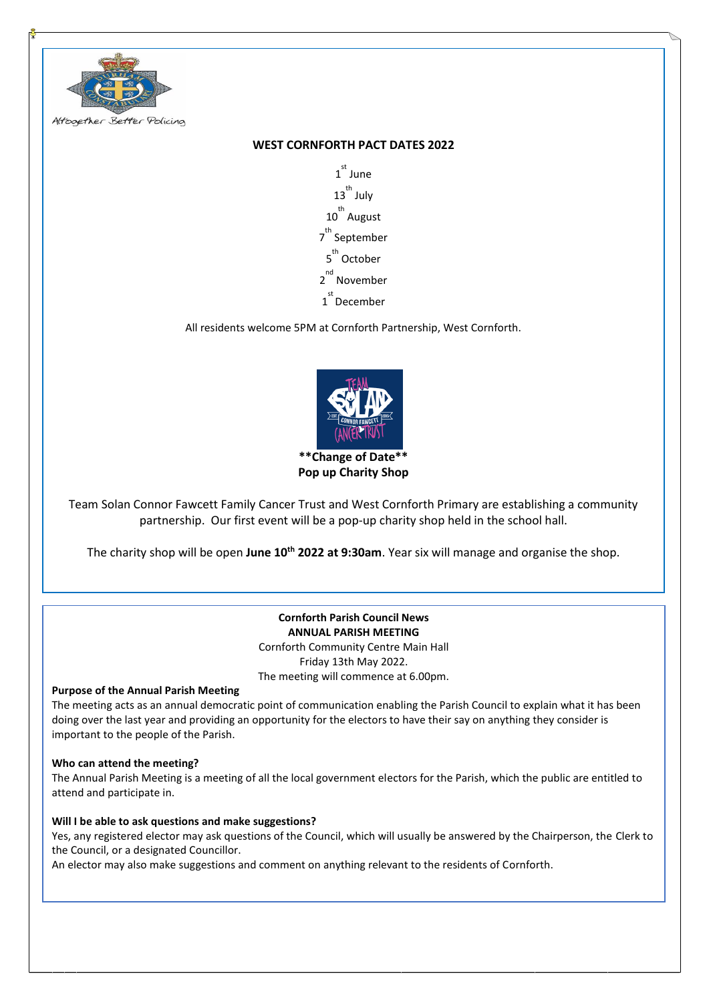

# **WEST CORNFORTH PACT DATES 2022**

1 st June 13<sup>th</sup> July 10<sup>th</sup> August 7<sup>th</sup> September 5<sup>th</sup> October 2<sup>nd</sup> November 1 st December

All residents welcome 5PM at Cornforth Partnership, West Cornforth.



Team Solan Connor Fawcett Family Cancer Trust and West Cornforth Primary are establishing a community partnership. Our first event will be a pop-up charity shop held in the school hall.

The charity shop will be open **June 10th 2022 at 9:30am**. Year six will manage and organise the shop.

# **Cornforth Parish Council News ANNUAL PARISH MEETING** Cornforth Community Centre Main Hall Friday 13th May 2022.

The meeting will commence at 6.00pm.

**Purpose of the Annual Parish Meeting**

The meeting acts as an annual democratic point of communication enabling the Parish Council to explain what it has been doing over the last year and providing an opportunity for the electors to have their say on anything they consider is important to the people of the Parish.

### **Who can attend the meeting?**

The Annual Parish Meeting is a meeting of all the local government electors for the Parish, which the public are entitled to attend and participate in.

### **Will I be able to ask questions and make suggestions?**

Yes, any registered elector may ask questions of the Council, which will usually be answered by the Chairperson, the Clerk to the Council, or a designated Councillor.

An elector may also make suggestions and comment on anything relevant to the residents of Cornforth.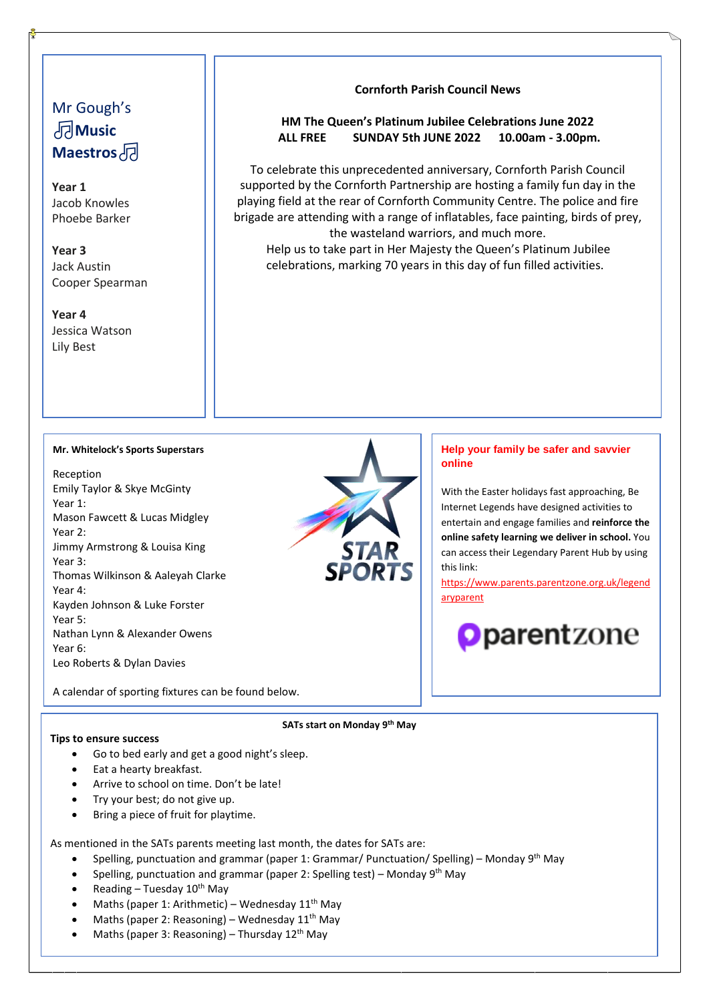# Mr Gough's **Music Maestros**

**Year 1** Jacob Knowles Phoebe Barker

**Year 3** Jack Austin Cooper Spearman

**Year 4** Jessica Watson Lily Best

## **Cornforth Parish Council News**

# **HM The Queen's Platinum Jubilee Celebrations June 2022 ALL FREE SUNDAY 5th JUNE 2022 10.00am - 3.00pm.**

To celebrate this unprecedented anniversary, Cornforth Parish Council supported by the Cornforth Partnership are hosting a family fun day in the playing field at the rear of Cornforth Community Centre. The police and fire brigade are attending with a range of inflatables, face painting, birds of prey, the wasteland warriors, and much more.

Help us to take part in Her Majesty the Queen's Platinum Jubilee celebrations, marking 70 years in this day of fun filled activities.

### **Mr. Whitelock's Sports Superstars**

Reception Emily Taylor & Skye McGinty Year 1: Mason Fawcett & Lucas Midgley Year 2: Jimmy Armstrong & Louisa King Year 3: Thomas Wilkinson & Aaleyah Clarke Year 4: Kayden Johnson & Luke Forster Year 5: Nathan Lynn & Alexander Owens Year 6: Leo Roberts & Dylan Davies



## **Help your family be safer and savvier online**

With the Easter holidays fast approaching, Be Internet Legends have designed activities to entertain and engage families and **reinforce the online safety learning we deliver in school.** You can access their Legendary Parent Hub by using this link:

[https://www.parents.parentzone.org.uk/legend](https://www.parents.parentzone.org.uk/legendaryparent) [aryparent](https://www.parents.parentzone.org.uk/legendaryparent)



A calendar of sporting fixtures can be found below.

### **Tips to ensure success**

**SATs start on Monday 9th May**

- Go to bed early and get a good night's sleep.
- Eat a hearty breakfast.
- Arrive to school on time. Don't be late!
- Try your best; do not give up.
- Bring a piece of fruit for playtime.

As mentioned in the SATs parents meeting last month, the dates for SATs are:

- Spelling, punctuation and grammar (paper 1: Grammar/ Punctuation/ Spelling) Monday 9<sup>th</sup> May
- Spelling, punctuation and grammar (paper 2: Spelling test) Monday 9<sup>th</sup> May
- Reading Tuesday  $10^{th}$  May
- Maths (paper 1: Arithmetic) Wednesday  $11<sup>th</sup>$  May
- Maths (paper 2: Reasoning) Wednesday  $11<sup>th</sup>$  May
- Maths (paper 3: Reasoning) Thursday  $12<sup>th</sup>$  May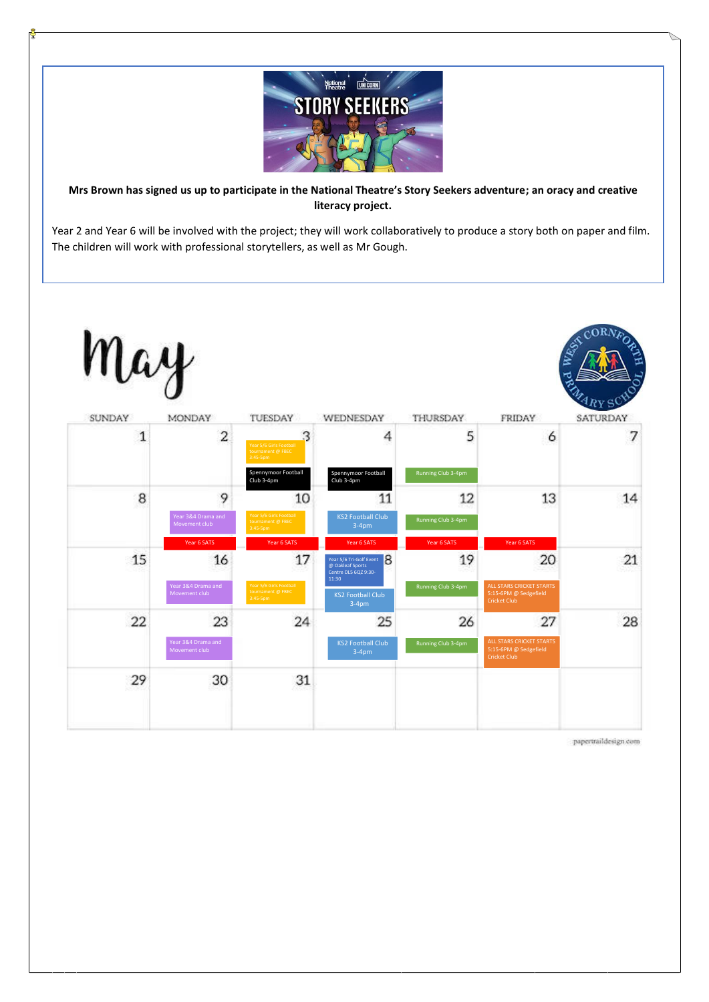

**Mrs Brown has signed us up to participate in the National Theatre's Story Seekers adventure; an oracy and creative literacy project.**

Year 2 and Year 6 will be involved with the project; they will work collaboratively to produce a story both on paper and film. The children will work with professional storytellers, as well as Mr Gough.



papertraildesign com